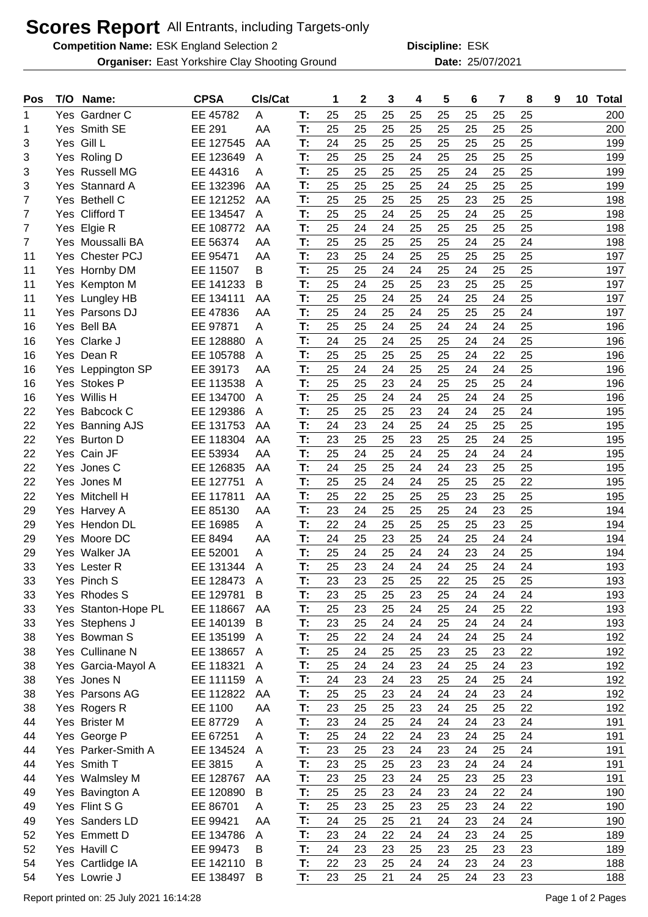## **Scores Report** All Entrants, including Targets-only

**Competition Name:** ESK England Selection 2 **Example 1 ESK** Discipline: ESK

**Organiser:** East Yorkshire Clay Shooting Ground **25/07/2021** Date: 25/07/2021

**Discipline:**

| Pos            | T/O Name:           | <b>CPSA</b>   | Cls/Cat |    | 1  | $\boldsymbol{2}$ | 3  | 4  | 5  | 6  | 7  | 8  | 9 | 10 | <b>Total</b> |
|----------------|---------------------|---------------|---------|----|----|------------------|----|----|----|----|----|----|---|----|--------------|
| 1              | Yes Gardner C       | EE 45782      | A       | T: | 25 | 25               | 25 | 25 | 25 | 25 | 25 | 25 |   |    | 200          |
| 1              | Yes Smith SE        | <b>EE 291</b> | AA      | T: | 25 | 25               | 25 | 25 | 25 | 25 | 25 | 25 |   |    | 200          |
| 3              | Yes Gill L          | EE 127545     | AA      | T: | 24 | 25               | 25 | 25 | 25 | 25 | 25 | 25 |   |    | 199          |
| 3              | Yes Roling D        | EE 123649     | A       | T: | 25 | 25               | 25 | 24 | 25 | 25 | 25 | 25 |   |    | 199          |
| 3              | Yes Russell MG      | EE 44316      | Α       | T: | 25 | 25               | 25 | 25 | 25 | 24 | 25 | 25 |   |    | 199          |
| 3              | Yes Stannard A      | EE 132396     | AA      | T: | 25 | 25               | 25 | 25 | 24 | 25 | 25 | 25 |   |    | 199          |
| 7              | Yes Bethell C       | EE 121252     | AA      | T: | 25 | 25               | 25 | 25 | 25 | 23 | 25 | 25 |   |    | 198          |
| 7              | Yes Clifford T      | EE 134547     | А       | T: | 25 | 25               | 24 | 25 | 25 | 24 | 25 | 25 |   |    | 198          |
| 7              | Yes Elgie R         | EE 108772     | AA      | T: | 25 | 24               | 24 | 25 | 25 | 25 | 25 | 25 |   |    | 198          |
| $\overline{7}$ | Yes Moussalli BA    | EE 56374      | AA      | T: | 25 | 25               | 25 | 25 | 25 | 24 | 25 | 24 |   |    | 198          |
| 11             | Yes Chester PCJ     | EE 95471      | AA      | T: | 23 | 25               | 24 | 25 | 25 | 25 | 25 | 25 |   |    | 197          |
| 11             | Yes Hornby DM       | EE 11507      | Β       | T: | 25 | 25               | 24 | 24 | 25 | 24 | 25 | 25 |   |    | 197          |
| 11             | Yes Kempton M       | EE 141233     | Β       | T: | 25 | 24               | 25 | 25 | 23 | 25 | 25 | 25 |   |    | 197          |
| 11             | Yes Lungley HB      | EE 134111     | AA      | T: | 25 | 25               | 24 | 25 | 24 | 25 | 24 | 25 |   |    | 197          |
| 11             | Yes Parsons DJ      | EE 47836      | AA      | T: | 25 | 24               | 25 | 24 | 25 | 25 | 25 | 24 |   |    | 197          |
| 16             | Yes Bell BA         | EE 97871      | A       | T: | 25 | 25               | 24 | 25 | 24 | 24 | 24 | 25 |   |    | 196          |
| 16             | Yes Clarke J        | EE 128880     | A       | T: | 24 | 25               | 24 | 25 | 25 | 24 | 24 | 25 |   |    | 196          |
| 16             | Yes Dean R          | EE 105788     | A       | T: | 25 | 25               | 25 | 25 | 25 | 24 | 22 | 25 |   |    | 196          |
| 16             | Yes Leppington SP   | EE 39173      | AA      | T: | 25 | 24               | 24 | 25 | 25 | 24 | 24 | 25 |   |    | 196          |
| 16             | Yes Stokes P        | EE 113538     | A       | T: | 25 | 25               | 23 | 24 | 25 | 25 | 25 | 24 |   |    | 196          |
| 16             | Yes Willis H        | EE 134700     | Α       | T: | 25 | 25               | 24 | 24 | 25 | 24 | 24 | 25 |   |    | 196          |
| 22             | Yes Babcock C       | EE 129386     | Α       | T: | 25 | 25               | 25 | 23 | 24 | 24 | 25 | 24 |   |    | 195          |
| 22             | Yes Banning AJS     | EE 131753     | AA      | T: | 24 | 23               | 24 | 25 | 24 | 25 | 25 | 25 |   |    | 195          |
| 22             | Yes Burton D        | EE 118304     | AA      | T: | 23 | 25               | 25 | 23 | 25 | 25 | 24 | 25 |   |    | 195          |
| 22             | Yes Cain JF         | EE 53934      | AA      | T: | 25 | 24               | 25 | 24 | 25 | 24 | 24 | 24 |   |    | 195          |
| 22             | Yes Jones C         | EE 126835     | AA      | T: | 24 | 25               | 25 | 24 | 24 | 23 | 25 | 25 |   |    | 195          |
| 22             | Yes Jones M         | EE 127751     | A       | T: | 25 | 25               | 24 | 24 | 25 | 25 | 25 | 22 |   |    | 195          |
| 22             | Yes Mitchell H      | EE 117811     | AA      | T: | 25 | 22               | 25 | 25 | 25 | 23 | 25 | 25 |   |    | 195          |
| 29             | Yes Harvey A        | EE 85130      | AA      | T: | 23 | 24               | 25 | 25 | 25 | 24 | 23 | 25 |   |    | 194          |
| 29             | Yes Hendon DL       | EE 16985      | A       | T: | 22 | 24               | 25 | 25 | 25 | 25 | 23 | 25 |   |    | 194          |
| 29             | Yes Moore DC        | EE 8494       | AA      | T: | 24 | 25               | 23 | 25 | 24 | 25 | 24 | 24 |   |    | 194          |
| 29             | Yes Walker JA       | EE 52001      | A       | T: | 25 | 24               | 25 | 24 | 24 | 23 | 24 | 25 |   |    | 194          |
| 33             | Yes Lester R        | EE 131344     | A       | T: | 25 | 23               | 24 | 24 | 24 | 25 | 24 | 24 |   |    | 193          |
| 33             | Yes Pinch S         | EE 128473     | A       | т. | 23 | 23               | 25 | 25 | 22 | 25 | 25 | 25 |   |    | 193          |
| 33             | Yes Rhodes S        | EE 129781     | B       | T: | 23 | 25               | 25 | 23 | 25 | 24 | 24 | 24 |   |    | 193          |
| 33             | Yes Stanton-Hope PL | EE 118667     | AA      | T: | 25 | 23               | 25 | 24 | 25 | 24 | 25 | 22 |   |    | 193          |
| 33             | Yes Stephens J      | EE 140139     | B       | T: | 23 | 25               | 24 | 24 | 25 | 24 | 24 | 24 |   |    | 193          |
| 38             | Yes Bowman S        | EE 135199     | A       | T: | 25 | 22               | 24 | 24 | 24 | 24 | 25 | 24 |   |    | 192          |
| 38             | Yes Cullinane N     | EE 138657     | A       | T: | 25 | 24               | 25 | 25 | 23 | 25 | 23 | 22 |   |    | 192          |
| 38             | Yes Garcia-Mayol A  | EE 118321     | A       | T: | 25 | 24               | 24 | 23 | 24 | 25 | 24 | 23 |   |    | 192          |
| 38             | Yes Jones N         | EE 111159     | A       | T: | 24 | 23               | 24 | 23 | 25 | 24 | 25 | 24 |   |    | 192          |
| 38             | Yes Parsons AG      | EE 112822     | AA      | T: | 25 | 25               | 23 | 24 | 24 | 24 | 23 | 24 |   |    | 192          |
| 38             | Yes Rogers R        | EE 1100       | AA      | T: | 23 | 25               | 25 | 23 | 24 | 25 | 25 | 22 |   |    | 192          |
| 44             | Yes Brister M       | EE 87729      | Α       | T: | 23 | 24               | 25 | 24 | 24 | 24 | 23 | 24 |   |    | 191          |
| 44             | Yes George P        | EE 67251      | A       | T: | 25 | 24               | 22 | 24 | 23 | 24 | 25 | 24 |   |    | 191          |
| 44             | Yes Parker-Smith A  | EE 134524     | A       | T: | 23 | 25               | 23 | 24 | 23 | 24 | 25 | 24 |   |    | 191          |
| 44             | Yes Smith T         | EE 3815       | A       | T: | 23 | 25               | 25 | 23 | 23 | 24 | 24 | 24 |   |    | 191          |
| 44             | Yes Walmsley M      | EE 128767     | AA      | T: | 23 | 25               | 23 | 24 | 25 | 23 | 25 | 23 |   |    | 191          |
| 49             | Yes Bavington A     | EE 120890     | B       | T: | 25 | 25               | 23 | 24 | 23 | 24 | 22 | 24 |   |    | 190          |
| 49             | Yes Flint S G       | EE 86701      | A       | T: | 25 | 23               | 25 | 23 | 25 | 23 | 24 | 22 |   |    | 190          |
| 49             | Yes Sanders LD      | EE 99421      | AA      | T: | 24 | 25               | 25 | 21 | 24 | 23 | 24 | 24 |   |    | 190          |
| 52             | Yes Emmett D        | EE 134786     | A       | T: | 23 | 24               | 22 | 24 | 24 | 23 | 24 | 25 |   |    | 189          |
| 52             | Yes Havill C        | EE 99473      | B       | T: | 24 | 23               | 23 | 25 | 23 | 25 | 23 | 23 |   |    | 189          |
| 54             | Yes Cartlidge IA    | EE 142110     | B       | T: | 22 | 23               | 25 | 24 | 24 | 23 | 24 | 23 |   |    | 188          |
| 54             | Yes Lowrie J        | EE 138497     | B       | T: | 23 | 25               | 21 | 24 | 25 | 24 | 23 | 23 |   |    | 188          |
|                |                     |               |         |    |    |                  |    |    |    |    |    |    |   |    |              |

Report printed on: 25 July 2021 16:14:28 Page 1 of 2 Pages